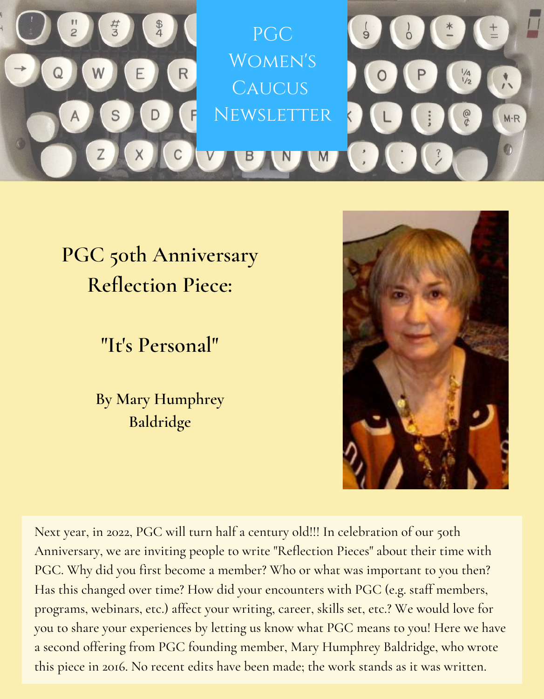

## **PGC 50th Anniversary Reflection Piece:**

**"It's Personal"**

**By Mary Humphrey Baldridge**



Next year, in 2022, PGC will turn half a century old!!! In celebration of our 50th Anniversary, we are inviting people to write "Reflection Pieces" about their time with PGC. Why did you first become a member? Who or what was important to you then? Has this changed over time? How did your encounters with PGC (e.g. staff members, programs, webinars, etc.) affect your writing, career, skills set, etc.? We would love for you to share your experiences by letting us know what PGC means to you! Here we have a second offering from PGC founding member, Mary Humphrey Baldridge, who wrote this piece in 2016. No recent edits have been made; the work stands as it was written.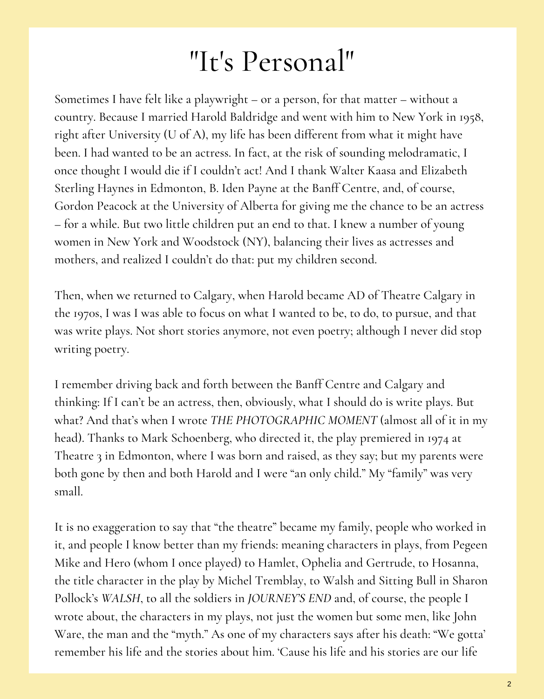## "It's Personal"

Sometimes I have felt like a playwright – or a person, for that matter – without a country. Because I married Harold Baldridge and went with him to New York in 1958, right after University (U of A), my life has been different from what it might have been. I had wanted to be an actress. In fact, at the risk of sounding melodramatic, I once thought I would die if I couldn't act! And I thank Walter Kaasa and Elizabeth Sterling Haynes in Edmonton, B. Iden Payne at the Banff Centre, and, of course, Gordon Peacock at the University of Alberta for giving me the chance to be an actress – for a while. But two little children put an end to that. I knew a number of young women in New York and Woodstock (NY), balancing their lives as actresses and mothers, and realized I couldn't do that: put my children second.

Then, when we returned to Calgary, when Harold became AD of Theatre Calgary in the 1970s, I was I was able to focus on what I wanted to be, to do, to pursue, and that was write plays. Not short stories anymore, not even poetry; although I never did stop writing poetry.

I remember driving back and forth between the Banff Centre and Calgary and thinking: If I can't be an actress, then, obviously, what I should do is write plays. But what? And that's when I wrote *THE PHOTOGRAPHIC MOMENT* (almost all of it in my head). Thanks to Mark Schoenberg, who directed it, the play premiered in 1974 at Theatre 3 in Edmonton, where I was born and raised, as they say; but my parents were both gone by then and both Harold and I were "an only child." My "family" was very small.

It is no exaggeration to say that "the theatre" became my family, people who worked in it, and people I know better than my friends: meaning characters in plays, from Pegeen Mike and Hero (whom I once played) to Hamlet, Ophelia and Gertrude, to Hosanna, the title character in the play by Michel Tremblay, to Walsh and Sitting Bull in Sharon Pollock's *WALSH*, to all the soldiers in *JOURNEY'S END* and, of course, the people I wrote about, the characters in my plays, not just the women but some men, like John Ware, the man and the "myth." As one of my characters says after his death: "We gotta' remember his life and the stories about him. 'Cause his life and his stories are our life